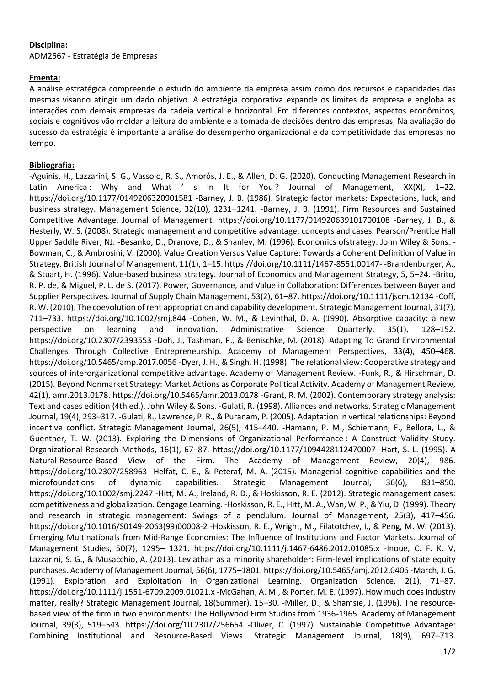## **Disciplina:**

ADM2567 - Estratégia de Empresas

## **Ementa:**

A análise estratégica compreende o estudo do ambiente da empresa assim como dos recursos e capacidades das mesmas visando atingir um dado objetivo. A estratégia corporativa expande os limites da empresa e engloba as interações com demais empresas da cadeia vertical e horizontal. Em diferentes contextos, aspectos econômicos, sociais e cognitivos vão moldar a leitura do ambiente e a tomada de decisões dentro das empresas. Na avaliação do sucesso da estratégia é importante a análise do desempenho organizacional e da competitividade das empresas no tempo.

## **Bibliografia:**

-Aguinis, H., Lazzarini, S. G., Vassolo, R. S., Amorós, J. E., & Allen, D. G. (2020). Conducting Management Research in Latin America : Why and What ' s in It for You? Journal of Management, XX(X), 1-22. https://doi.org/10.1177/0149206320901581 -Barney, J. B. (1986). Strategic factor markets: Expectations, luck, and business strategy. Management Science, 32(10), 1231–1241. -Barney, J. B. (1991). Firm Resources and Sustained Competitive Advantage. Journal of Management. https://doi.org/10.1177/014920639101700108 -Barney, J. B., & Hesterly, W. S. (2008). Strategic management and competitive advantage: concepts and cases. Pearson/Prentice Hall Upper Saddle River, NJ. -Besanko, D., Dranove, D., & Shanley, M. (1996). Economics ofstrategy. John Wiley & Sons. - Bowman, C., & Ambrosini, V. (2000). Value Creation Versus Value Capture: Towards a Coherent Definition of Value in Strategy. British Journal of Management, 11(1), 1–15. https://doi.org/10.1111/1467-8551.00147- -Brandenburger, A., & Stuart, H. (1996). Value-based business strategy. Journal of Economics and Management Strategy, 5, 5–24. -Brito, R. P. de, & Miguel, P. L. de S. (2017). Power, Governance, and Value in Collaboration: Differences between Buyer and Supplier Perspectives. Journal of Supply Chain Management, 53(2), 61–87. https://doi.org/10.1111/jscm.12134 -Coff, R. W. (2010). The coevolution of rent appropriation and capability development. Strategic Management Journal, 31(7), 711–733. https://doi.org/10.1002/smj.844 -Cohen, W. M., & Levinthal, D. A. (1990). Absorptive capacity: a new perspective on learning and innovation. Administrative Science Quarterly, 35(1), 128–152. https://doi.org/10.2307/2393553 -Doh, J., Tashman, P., & Benischke, M. (2018). Adapting To Grand Environmental Challenges Through Collective Entrepreneurship. Academy of Management Perspectives, 33(4), 450–468. https://doi.org/10.5465/amp.2017.0056 -Dyer, J. H., & Singh, H. (1998). The relational view: Cooperative strategy and sources of interorganizational competitive advantage. Academy of Management Review. -Funk, R., & Hirschman, D. (2015). Beyond Nonmarket Strategy: Market Actions as Corporate Political Activity. Academy of Management Review, 42(1), amr.2013.0178. https://doi.org/10.5465/amr.2013.0178 -Grant, R. M. (2002). Contemporary strategy analysis: Text and cases edition (4th ed.). John Wiley & Sons. -Gulati, R. (1998). Alliances and networks. Strategic Management Journal, 19(4), 293–317. -Gulati, R., Lawrence, P. R., & Puranam, P. (2005). Adaptation in vertical relationships: Beyond incentive conflict. Strategic Management Journal, 26(5), 415–440. -Hamann, P. M., Schiemann, F., Bellora, L., & Guenther, T. W. (2013). Exploring the Dimensions of Organizational Performance : A Construct Validity Study. Organizational Research Methods, 16(1), 67–87. https://doi.org/10.1177/1094428112470007 -Hart, S. L. (1995). A Natural-Resource-Based View of the Firm. The Academy of Management Review, 20(4), 986. https://doi.org/10.2307/258963 -Helfat, C. E., & Peteraf, M. A. (2015). Managerial cognitive capabilities and the microfoundations of dynamic capabilities. Strategic Management Journal, 36(6), 831–850. https://doi.org/10.1002/smj.2247 -Hitt, M. A., Ireland, R. D., & Hoskisson, R. E. (2012). Strategic management cases: competitiveness and globalization. Cengage Learning. -Hoskisson, R. E., Hitt, M. A., Wan, W. P., & Yiu, D. (1999). Theory and research in strategic management: Swings of a pendulum. Journal of Management, 25(3), 417–456. https://doi.org/10.1016/S0149-2063(99)00008-2 -Hoskisson, R. E., Wright, M., Filatotchev, I., & Peng, M. W. (2013). Emerging Multinationals from Mid-Range Economies: The Influence of Institutions and Factor Markets. Journal of Management Studies, 50(7), 1295– 1321. https://doi.org/10.1111/j.1467-6486.2012.01085.x -Inoue, C. F. K. V, Lazzarini, S. G., & Musacchio, A. (2013). Leviathan as a minority shareholder: Firm-level implications of state equity purchases. Academy of Management Journal, 56(6), 1775–1801. https://doi.org/10.5465/amj.2012.0406 -March, J. G. (1991). Exploration and Exploitation in Organizational Learning. Organization Science, 2(1), 71–87. https://doi.org/10.1111/j.1551-6709.2009.01021.x -McGahan, A. M., & Porter, M. E. (1997). How much does industry matter, really? Strategic Management Journal, 18(Summer), 15–30. -Miller, D., & Shamsie, J. (1996). The resourcebased view of the firm in two environments: The Hollywood Firm Studios from 1936-1965. Academy of Management Journal, 39(3), 519–543. https://doi.org/10.2307/256654 -Oliver, C. (1997). Sustainable Competitive Advantage: Combining Institutional and Resource-Based Views. Strategic Management Journal, 18(9), 697–713.